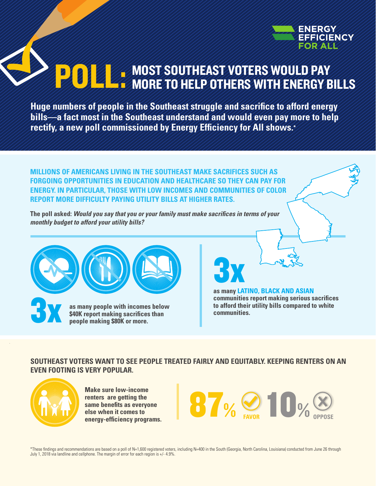

# MOST SOUTHEAST VOTERS WOULD PAY **POLL: MOST SOUTHEAST VOTERS WOULD PAY**

**Huge numbers of people in the Southeast struggle and sacrifice to afford energy bills—a fact most in the Southeast understand and would even pay more to help rectify, a new poll commissioned by Energy Efficiency for All shows.\***

**MILLIONS OF AMERICANS LIVING IN THE SOUTHEAST MAKE SACRIFICES SUCH AS FORGOING OPPORTUNITIES IN EDUCATION AND HEALTHCARE SO THEY CAN PAY FOR ENERGY. IN PARTICULAR, THOSE WITH LOW INCOMES AND COMMUNITIES OF COLOR REPORT MORE DIFFICULTY PAYING UTILITY BILLS AT HIGHER RATES.** 

**The poll asked:** *Would you say that you or your family must make sacrifices in terms of your monthly budget to afford your utility bills?* 





**3x** 

**as many LATINO, BLACK AND ASIAN communities report making serious sacrifices to afford their utility bills compared to white communities.** 

#### **SOUTHEAST VOTERS WANT TO SEE PEOPLE TREATED FAIRLY AND EQUITABLY. KEEPING RENTERS ON AN EVEN FOOTING IS VERY POPULAR.**



**Make sure low-income renters are getting the same benefits as everyone else when it comes to** 



\*These findings and recommendations are based on a poll of N=1,600 registered voters, including N=400 in the South (Georgia, North Carolina, Louisiana) conducted from June 26 through July 1, 2018 via landline and cellphone. The margin of error for each region is +/- 4.9%.